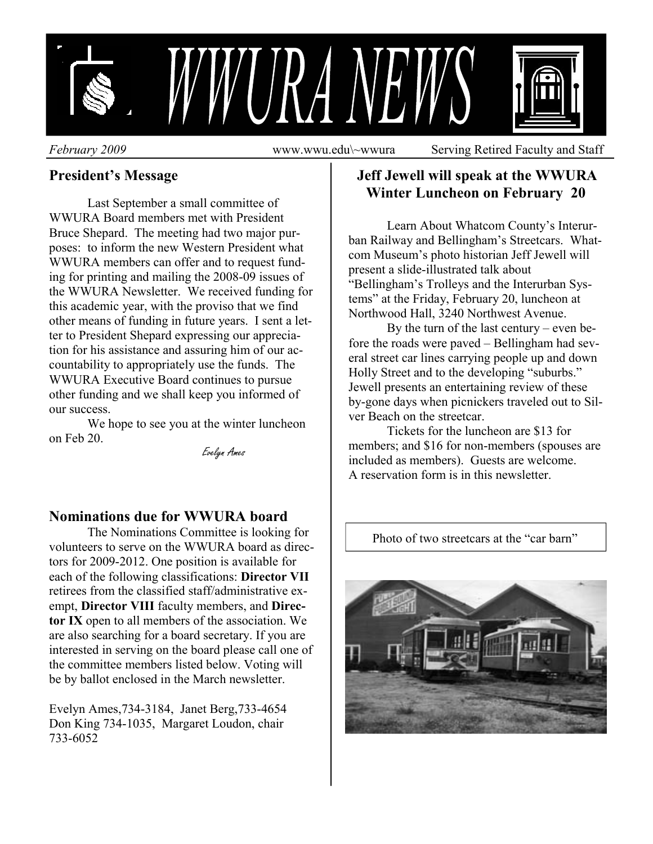

*February 2009* **www.wwu.edu\~wwura** Serving Retired Faculty and Staff

# **President's Message**

 Last September a small committee of WWURA Board members met with President Bruce Shepard. The meeting had two major purposes: to inform the new Western President what WWURA members can offer and to request funding for printing and mailing the 2008-09 issues of the WWURA Newsletter. We received funding for this academic year, with the proviso that we find other means of funding in future years. I sent a letter to President Shepard expressing our appreciation for his assistance and assuring him of our accountability to appropriately use the funds. The WWURA Executive Board continues to pursue other funding and we shall keep you informed of our success.

 We hope to see you at the winter luncheon on Feb 20.

Evelyn Ames

#### **Nominations due for WWURA board**

 The Nominations Committee is looking for volunteers to serve on the WWURA board as directors for 2009-2012. One position is available for each of the following classifications: **Director VII** retirees from the classified staff/administrative exempt, **Director VIII** faculty members, and **Director IX** open to all members of the association. We are also searching for a board secretary. If you are interested in serving on the board please call one of the committee members listed below. Voting will be by ballot enclosed in the March newsletter.

Evelyn Ames,734-3184, Janet Berg,733-4654 Don King 734-1035, Margaret Loudon, chair 733-6052

## **Jeff Jewell will speak at the WWURA Winter Luncheon on February 20**

 Learn About Whatcom County's Interurban Railway and Bellingham's Streetcars. Whatcom Museum's photo historian Jeff Jewell will present a slide-illustrated talk about "Bellingham's Trolleys and the Interurban Systems" at the Friday, February 20, luncheon at Northwood Hall, 3240 Northwest Avenue.

 By the turn of the last century – even before the roads were paved – Bellingham had several street car lines carrying people up and down Holly Street and to the developing "suburbs." Jewell presents an entertaining review of these by-gone days when picnickers traveled out to Silver Beach on the streetcar.

 Tickets for the luncheon are \$13 for members; and \$16 for non-members (spouses are included as members). Guests are welcome. A reservation form is in this newsletter.

Photo of two streetcars at the "car barn"

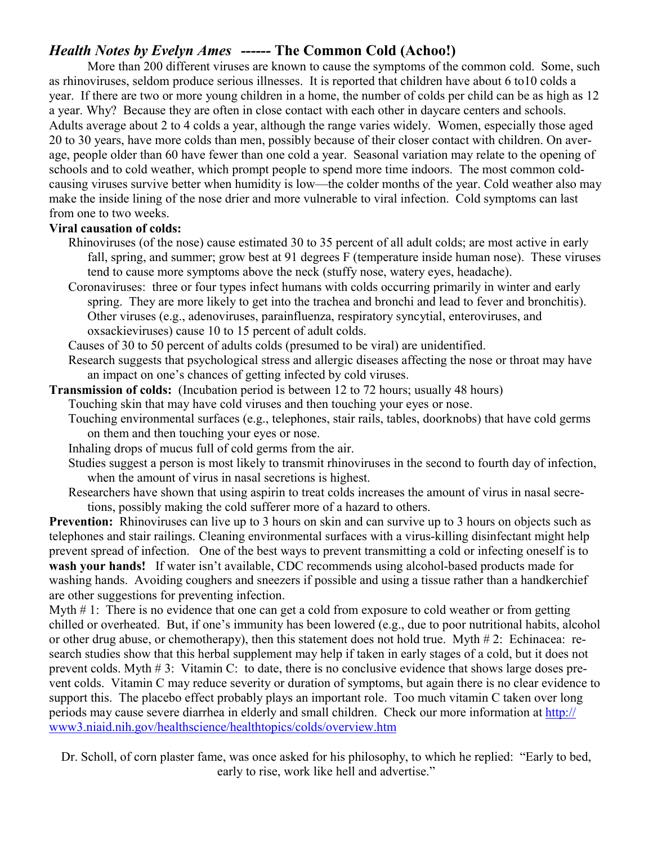## *Health Notes by Evelyn Ames ------* **The Common Cold (Achoo!)**

 More than 200 different viruses are known to cause the symptoms of the common cold. Some, such as rhinoviruses, seldom produce serious illnesses. It is reported that children have about 6 to10 colds a year. If there are two or more young children in a home, the number of colds per child can be as high as 12 a year. Why? Because they are often in close contact with each other in daycare centers and schools. Adults average about 2 to 4 colds a year, although the range varies widely. Women, especially those aged 20 to 30 years, have more colds than men, possibly because of their closer contact with children. On average, people older than 60 have fewer than one cold a year. Seasonal variation may relate to the opening of schools and to cold weather, which prompt people to spend more time indoors. The most common coldcausing viruses survive better when humidity is low—the colder months of the year. Cold weather also may make the inside lining of the nose drier and more vulnerable to viral infection. Cold symptoms can last from one to two weeks.

#### **Viral causation of colds:**

- Rhinoviruses (of the nose) cause estimated 30 to 35 percent of all adult colds; are most active in early fall, spring, and summer; grow best at 91 degrees F (temperature inside human nose). These viruses tend to cause more symptoms above the neck (stuffy nose, watery eyes, headache).
- Coronaviruses: three or four types infect humans with colds occurring primarily in winter and early spring. They are more likely to get into the trachea and bronchi and lead to fever and bronchitis). Other viruses (e.g., adenoviruses, parainfluenza, respiratory syncytial, enteroviruses, and oxsackieviruses) cause 10 to 15 percent of adult colds.
- Causes of 30 to 50 percent of adults colds (presumed to be viral) are unidentified.
- Research suggests that psychological stress and allergic diseases affecting the nose or throat may have an impact on one's chances of getting infected by cold viruses.
- **Transmission of colds:** (Incubation period is between 12 to 72 hours; usually 48 hours)
	- Touching skin that may have cold viruses and then touching your eyes or nose.
	- Touching environmental surfaces (e.g., telephones, stair rails, tables, doorknobs) that have cold germs on them and then touching your eyes or nose.
	- Inhaling drops of mucus full of cold germs from the air.
	- Studies suggest a person is most likely to transmit rhinoviruses in the second to fourth day of infection, when the amount of virus in nasal secretions is highest.
	- Researchers have shown that using aspirin to treat colds increases the amount of virus in nasal secretions, possibly making the cold sufferer more of a hazard to others.

**Prevention:** Rhinoviruses can live up to 3 hours on skin and can survive up to 3 hours on objects such as telephones and stair railings. Cleaning environmental surfaces with a virus-killing disinfectant might help prevent spread of infection. One of the best ways to prevent transmitting a cold or infecting oneself is to **wash your hands!** If water isn't available, CDC recommends using alcohol-based products made for washing hands. Avoiding coughers and sneezers if possible and using a tissue rather than a handkerchief are other suggestions for preventing infection.

Myth #1: There is no evidence that one can get a cold from exposure to cold weather or from getting chilled or overheated. But, if one's immunity has been lowered (e.g., due to poor nutritional habits, alcohol or other drug abuse, or chemotherapy), then this statement does not hold true. Myth # 2: Echinacea: research studies show that this herbal supplement may help if taken in early stages of a cold, but it does not prevent colds. Myth # 3: Vitamin C: to date, there is no conclusive evidence that shows large doses prevent colds. Vitamin C may reduce severity or duration of symptoms, but again there is no clear evidence to support this. The placebo effect probably plays an important role. Too much vitamin C taken over long periods may cause severe diarrhea in elderly and small children. Check our more information at http:// www3.niaid.nih.gov/healthscience/healthtopics/colds/overview.htm

Dr. Scholl, of corn plaster fame, was once asked for his philosophy, to which he replied: "Early to bed, early to rise, work like hell and advertise."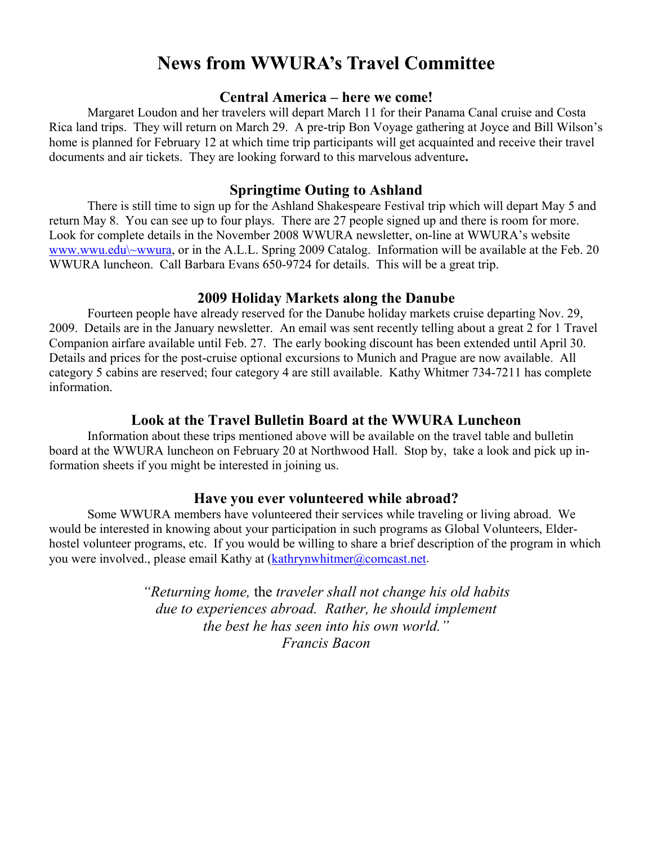# **News from WWURA's Travel Committee**

#### **Central America – here we come!**

 Margaret Loudon and her travelers will depart March 11 for their Panama Canal cruise and Costa Rica land trips. They will return on March 29. A pre-trip Bon Voyage gathering at Joyce and Bill Wilson's home is planned for February 12 at which time trip participants will get acquainted and receive their travel documents and air tickets. They are looking forward to this marvelous adventure**.** 

#### **Springtime Outing to Ashland**

 There is still time to sign up for the Ashland Shakespeare Festival trip which will depart May 5 and return May 8. You can see up to four plays. There are 27 people signed up and there is room for more. Look for complete details in the November 2008 WWURA newsletter, on-line at WWURA's website www.wwu.edu\~wwura, or in the A.L.L. Spring 2009 Catalog. Information will be available at the Feb. 20 WWURA luncheon. Call Barbara Evans 650-9724 for details. This will be a great trip.

#### **2009 Holiday Markets along the Danube**

 Fourteen people have already reserved for the Danube holiday markets cruise departing Nov. 29, 2009. Details are in the January newsletter. An email was sent recently telling about a great 2 for 1 Travel Companion airfare available until Feb. 27. The early booking discount has been extended until April 30. Details and prices for the post-cruise optional excursions to Munich and Prague are now available. All category 5 cabins are reserved; four category 4 are still available. Kathy Whitmer 734-7211 has complete information.

#### **Look at the Travel Bulletin Board at the WWURA Luncheon**

 Information about these trips mentioned above will be available on the travel table and bulletin board at the WWURA luncheon on February 20 at Northwood Hall. Stop by, take a look and pick up information sheets if you might be interested in joining us.

#### **Have you ever volunteered while abroad?**

 Some WWURA members have volunteered their services while traveling or living abroad. We would be interested in knowing about your participation in such programs as Global Volunteers, Elderhostel volunteer programs, etc. If you would be willing to share a brief description of the program in which you were involved., please email Kathy at (kathrynwhitmer@comcast.net.)

> *"Returning home,* the *traveler shall not change his old habits due to experiences abroad. Rather, he should implement the best he has seen into his own world." Francis Bacon*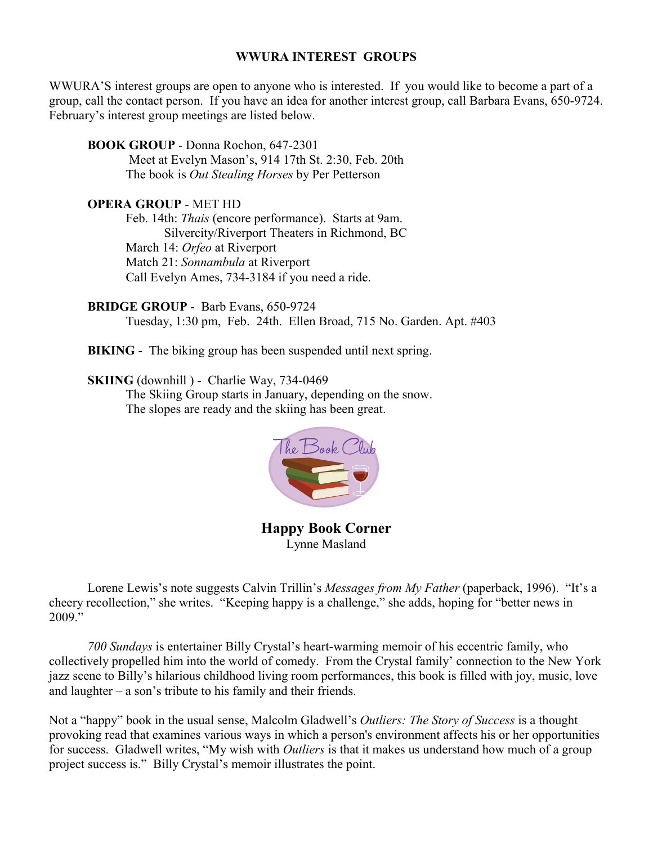#### **WWURA INTEREST GROUPS**

WWURA'S interest groups are open to anyone who is interested. If you would like to become a part of a group, call the contact person. If you have an idea for another interest group, call Barbara Evans, 650-9724. February's interest group meetings are listed below.

 **BOOK GROUP** - Donna Rochon, 647-2301

 Meet at Evelyn Mason's, 914 17th St. 2:30, Feb. 20th The book is *Out Stealing Horses* by Per Petterson

#### **OPERA GROUP** - MET HD

 Feb. 14th: *Thais* (encore performance). Starts at 9am. Silvercity/Riverport Theaters in Richmond, BC March 14: *Orfeo* at Riverport Match 21: *Sonnambula* at Riverport Call Evelyn Ames, 734-3184 if you need a ride.

 **BRIDGE GROUP** - Barb Evans, 650-9724 Tuesday, 1:30 pm, Feb. 24th. Ellen Broad, 715 No. Garden. Apt. #403

**BIKING** - The biking group has been suspended until next spring.

 **SKIING** (downhill ) - Charlie Way, 734-0469

 The Skiing Group starts in January, depending on the snow. The slopes are ready and the skiing has been great.



**Happy Book Corner**  Lynne Masland

 Lorene Lewis's note suggests Calvin Trillin's *Messages from My Father* (paperback, 1996). "It's a cheery recollection," she writes. "Keeping happy is a challenge," she adds, hoping for "better news in 2009."

 *700 Sundays* is entertainer Billy Crystal's heart-warming memoir of his eccentric family, who collectively propelled him into the world of comedy. From the Crystal family' connection to the New York jazz scene to Billy's hilarious childhood living room performances, this book is filled with joy, music, love and laughter – a son's tribute to his family and their friends.

Not a "happy" book in the usual sense, Malcolm Gladwell's *Outliers: The Story of Success* is a thought provoking read that examines various ways in which a person's environment affects his or her opportunities for success. Gladwell writes, "My wish with *Outliers* is that it makes us understand how much of a group project success is." Billy Crystal's memoir illustrates the point.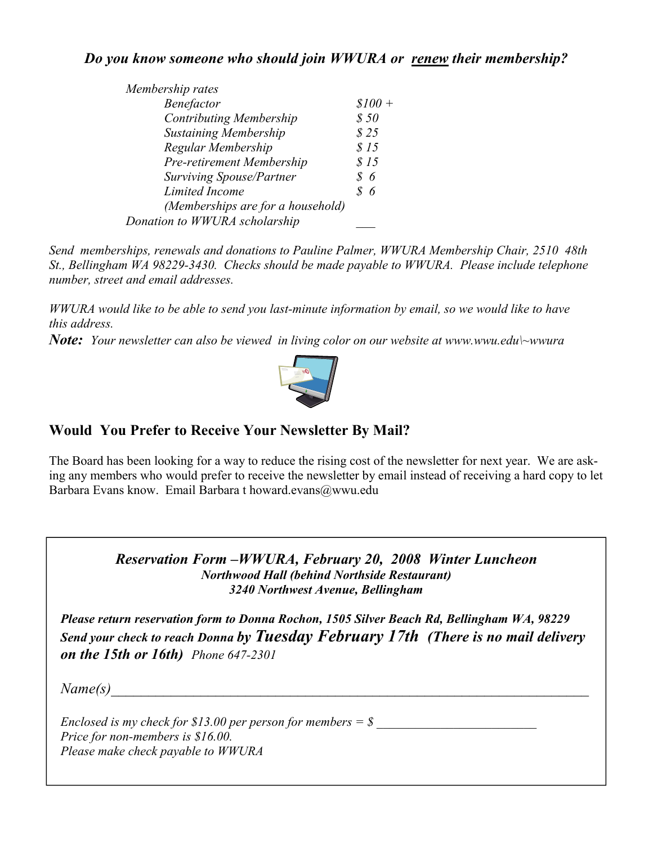#### *Do you know someone who should join WWURA or renew their membership?*

| Membership rates                  |          |
|-----------------------------------|----------|
| Benefactor                        | $$100 +$ |
| <b>Contributing Membership</b>    | \$50     |
| <b>Sustaining Membership</b>      | \$25     |
| Regular Membership                | \$15     |
| Pre-retirement Membership         | \$15     |
| Surviving Spouse/Partner          | -6       |
| Limited Income                    | 86       |
| (Memberships are for a household) |          |
| Donation to WWURA scholarship     |          |
|                                   |          |

*Send memberships, renewals and donations to Pauline Palmer, WWURA Membership Chair, 2510 48th St., Bellingham WA 98229-3430. Checks should be made payable to WWURA. Please include telephone number, street and email addresses.* 

*WWURA would like to be able to send you last-minute information by email, so we would like to have this address.* 

*Note: Your newsletter can also be viewed in living color on our website at www.wwu.edu\~wwura* 



# **Would You Prefer to Receive Your Newsletter By Mail?**

The Board has been looking for a way to reduce the rising cost of the newsletter for next year. We are asking any members who would prefer to receive the newsletter by email instead of receiving a hard copy to let Barbara Evans know. Email Barbara t howard.evans@wwu.edu

> *Reservation Form –WWURA, February 20, 2008 Winter Luncheon Northwood Hall (behind Northside Restaurant) 3240 Northwest Avenue, Bellingham*

*Please return reservation form to Donna Rochon, 1505 Silver Beach Rd, Bellingham WA, 98229 Send your check to reach Donna by Tuesday February 17th (There is no mail delivery on the 15th or 16th) Phone 647-2301*

 $Name(s)$ 

*Enclosed is my check for \$13.00 per person for members = \$ Price for non-members is \$16.00. Please make check payable to WWURA*